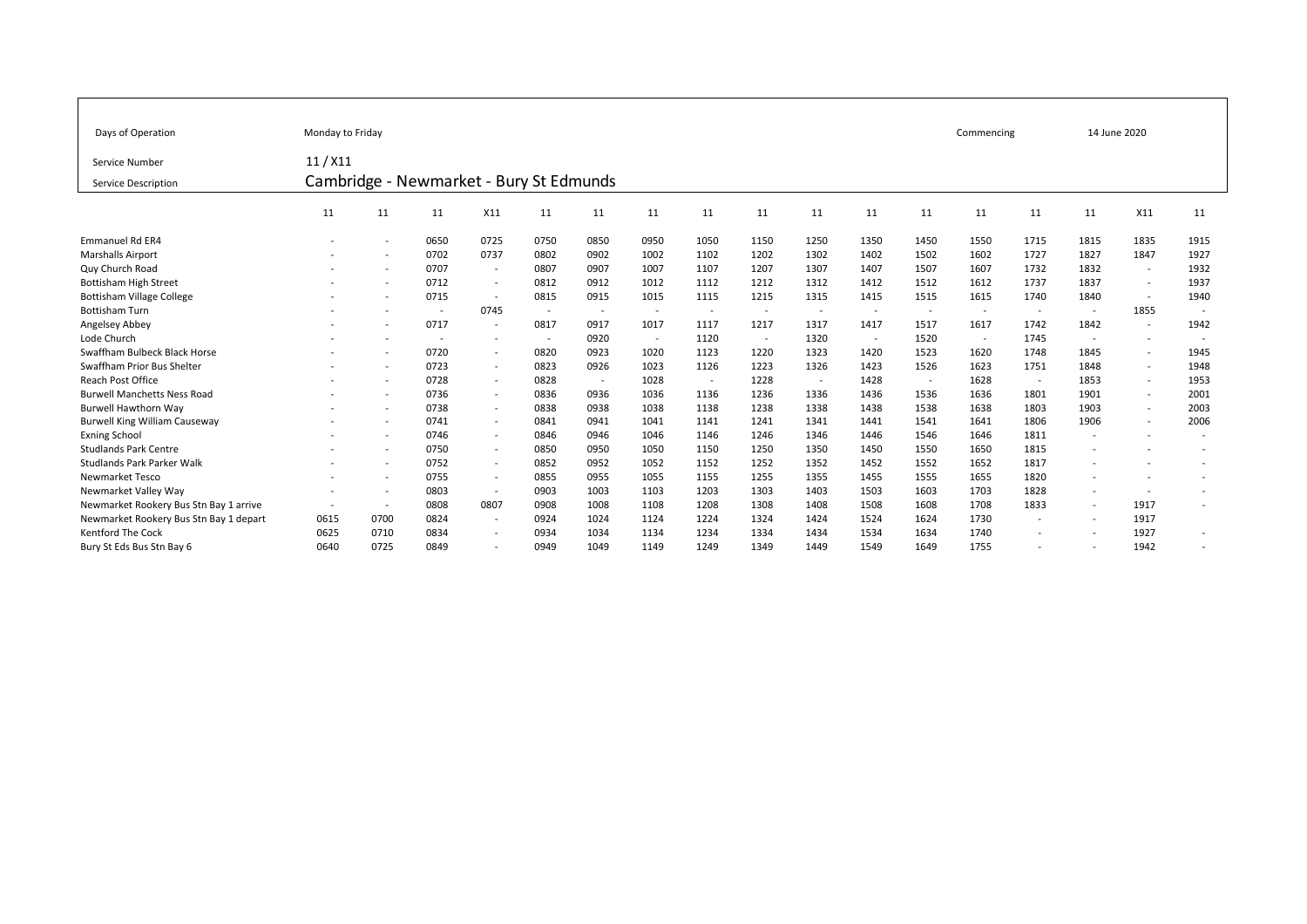| Days of Operation                      | Monday to Friday                        |                          |        |                          |                          | Commencing     |        | 14 June 2020             |        |                          |                          |                          |                          |                          |        |                          |                          |
|----------------------------------------|-----------------------------------------|--------------------------|--------|--------------------------|--------------------------|----------------|--------|--------------------------|--------|--------------------------|--------------------------|--------------------------|--------------------------|--------------------------|--------|--------------------------|--------------------------|
| Service Number                         | 11/X11                                  |                          |        |                          |                          |                |        |                          |        |                          |                          |                          |                          |                          |        |                          |                          |
| Service Description                    | Cambridge - Newmarket - Bury St Edmunds |                          |        |                          |                          |                |        |                          |        |                          |                          |                          |                          |                          |        |                          |                          |
|                                        | 11                                      | 11                       | 11     | X11                      | 11                       | 11             | 11     | 11                       | 11     | 11                       | 11                       | 11                       | 11                       | 11                       | 11     | X11                      | 11                       |
| <b>Emmanuel Rd ER4</b>                 |                                         | $\overline{\phantom{a}}$ | 0650   | 0725                     | 0750                     | 0850           | 0950   | 1050                     | 1150   | 1250                     | 1350                     | 1450                     | 1550                     | 1715                     | 1815   | 1835                     | 1915                     |
| <b>Marshalls Airport</b>               |                                         |                          | 0702   | 0737                     | 0802                     | 0902           | 1002   | 1102                     | 1202   | 1302                     | 1402                     | 1502                     | 1602                     | 1727                     | 1827   | 1847                     | 1927                     |
| Quy Church Road                        |                                         | $\overline{\phantom{a}}$ | 0707   | $\overline{\phantom{a}}$ | 0807                     | 0907           | 1007   | 1107                     | 1207   | 1307                     | 1407                     | 1507                     | 1607                     | 1732                     | 1832   | $\sim$                   | 1932                     |
| <b>Bottisham High Street</b>           |                                         |                          | 0712   | $\overline{\phantom{a}}$ | 0812                     | 0912           | 1012   | 1112                     | 1212   | 1312                     | 1412                     | 1512                     | 1612                     | 1737                     | 1837   | $\sim$                   | 1937                     |
| <b>Bottisham Village College</b>       |                                         | $\overline{\phantom{a}}$ | 0715   | $\overline{\phantom{a}}$ | 0815                     | 0915           | 1015   | 1115                     | 1215   | 1315                     | 1415                     | 1515                     | 1615                     | 1740                     | 1840   | $\sim$                   | 1940                     |
| <b>Bottisham Turn</b>                  |                                         | $\overline{\phantom{a}}$ | $\sim$ | 0745                     | $\overline{\phantom{a}}$ | $\sim$         | $\sim$ | $\overline{\phantom{a}}$ | $\sim$ | $\overline{\phantom{a}}$ | $\overline{\phantom{a}}$ | $\overline{a}$           | $\overline{\phantom{a}}$ | $\sim$                   | $\sim$ | 1855                     |                          |
| Angelsey Abbey                         |                                         |                          | 0717   | $\overline{\phantom{a}}$ | 0817                     | 0917           | 1017   | 1117                     | 1217   | 1317                     | 1417                     | 1517                     | 1617                     | 1742                     | 1842   | $\sim$                   | 1942                     |
| Lode Church                            |                                         | $\overline{\phantom{a}}$ | $\sim$ | $\overline{\phantom{a}}$ | $\overline{\phantom{a}}$ | 0920           | $\sim$ | 1120                     | $\sim$ | 1320                     | $\sim$                   | 1520                     | $\overline{\phantom{a}}$ | 1745                     | $\sim$ | $\overline{\phantom{a}}$ |                          |
| Swaffham Bulbeck Black Horse           |                                         |                          | 0720   | $\overline{\phantom{a}}$ | 0820                     | 0923           | 1020   | 1123                     | 1220   | 1323                     | 1420                     | 1523                     | 1620                     | 1748                     | 1845   | $\overline{a}$           | 1945                     |
| Swaffham Prior Bus Shelter             |                                         | $\overline{\phantom{a}}$ | 0723   | $\overline{\phantom{a}}$ | 0823                     | 0926           | 1023   | 1126                     | 1223   | 1326                     | 1423                     | 1526                     | 1623                     | 1751                     | 1848   | $\sim$                   | 1948                     |
| Reach Post Office                      |                                         | $\overline{\phantom{a}}$ | 0728   | $\overline{\phantom{a}}$ | 0828                     | $\overline{a}$ | 1028   | $\overline{\phantom{a}}$ | 1228   | $\overline{\phantom{a}}$ | 1428                     | $\overline{\phantom{a}}$ | 1628                     | $\sim$                   | 1853   | $\overline{\phantom{a}}$ | 1953                     |
| <b>Burwell Manchetts Ness Road</b>     |                                         | ٠                        | 0736   | $\overline{\phantom{a}}$ | 0836                     | 0936           | 1036   | 1136                     | 1236   | 1336                     | 1436                     | 1536                     | 1636                     | 1801                     | 1901   | $\overline{\phantom{a}}$ | 2001                     |
| <b>Burwell Hawthorn Way</b>            |                                         | $\overline{\phantom{a}}$ | 0738   | $\overline{\phantom{a}}$ | 0838                     | 0938           | 1038   | 1138                     | 1238   | 1338                     | 1438                     | 1538                     | 1638                     | 1803                     | 1903   |                          | 2003                     |
| <b>Burwell King William Causeway</b>   |                                         | $\overline{\phantom{a}}$ | 0741   | $\overline{\phantom{a}}$ | 0841                     | 0941           | 1041   | 1141                     | 1241   | 1341                     | 1441                     | 1541                     | 1641                     | 1806                     | 1906   |                          | 2006                     |
| <b>Exning School</b>                   |                                         | $\overline{\phantom{a}}$ | 0746   | $\sim$                   | 0846                     | 0946           | 1046   | 1146                     | 1246   | 1346                     | 1446                     | 1546                     | 1646                     | 1811                     |        |                          | $\overline{\phantom{a}}$ |
| <b>Studlands Park Centre</b>           |                                         |                          | 0750   | $\overline{\phantom{a}}$ | 0850                     | 0950           | 1050   | 1150                     | 1250   | 1350                     | 1450                     | 1550                     | 1650                     | 1815                     |        |                          |                          |
| Studlands Park Parker Walk             |                                         | $\overline{\phantom{a}}$ | 0752   | $\overline{\phantom{a}}$ | 0852                     | 0952           | 1052   | 1152                     | 1252   | 1352                     | 1452                     | 1552                     | 1652                     | 1817                     |        |                          |                          |
| <b>Newmarket Tesco</b>                 |                                         | $\overline{\phantom{a}}$ | 0755   | $\overline{\phantom{a}}$ | 0855                     | 0955           | 1055   | 1155                     | 1255   | 1355                     | 1455                     | 1555                     | 1655                     | 1820                     |        |                          | $\overline{a}$           |
| Newmarket Valley Way                   |                                         |                          | 0803   | $\overline{\phantom{a}}$ | 0903                     | 1003           | 1103   | 1203                     | 1303   | 1403                     | 1503                     | 1603                     | 1703                     | 1828                     |        |                          | ۰                        |
| Newmarket Rookery Bus Stn Bay 1 arrive | $\overline{\phantom{a}}$                | $\sim$                   | 0808   | 0807                     | 0908                     | 1008           | 1108   | 1208                     | 1308   | 1408                     | 1508                     | 1608                     | 1708                     | 1833                     | $\sim$ | 1917                     |                          |
| Newmarket Rookery Bus Stn Bay 1 depart | 0615                                    | 0700                     | 0824   | $\overline{\phantom{a}}$ | 0924                     | 1024           | 1124   | 1224                     | 1324   | 1424                     | 1524                     | 1624                     | 1730                     | $\sim$                   | $\sim$ | 1917                     |                          |
| Kentford The Cock                      | 0625                                    | 0710                     | 0834   | $\overline{\phantom{a}}$ | 0934                     | 1034           | 1134   | 1234                     | 1334   | 1434                     | 1534                     | 1634                     | 1740                     | $\overline{\phantom{a}}$ | $\sim$ | 1927                     | -                        |
| Bury St Eds Bus Stn Bay 6              | 0640                                    | 0725                     | 0849   | $\overline{\phantom{a}}$ | 0949                     | 1049           | 1149   | 1249                     | 1349   | 1449                     | 1549                     | 1649                     | 1755                     |                          |        | 1942                     |                          |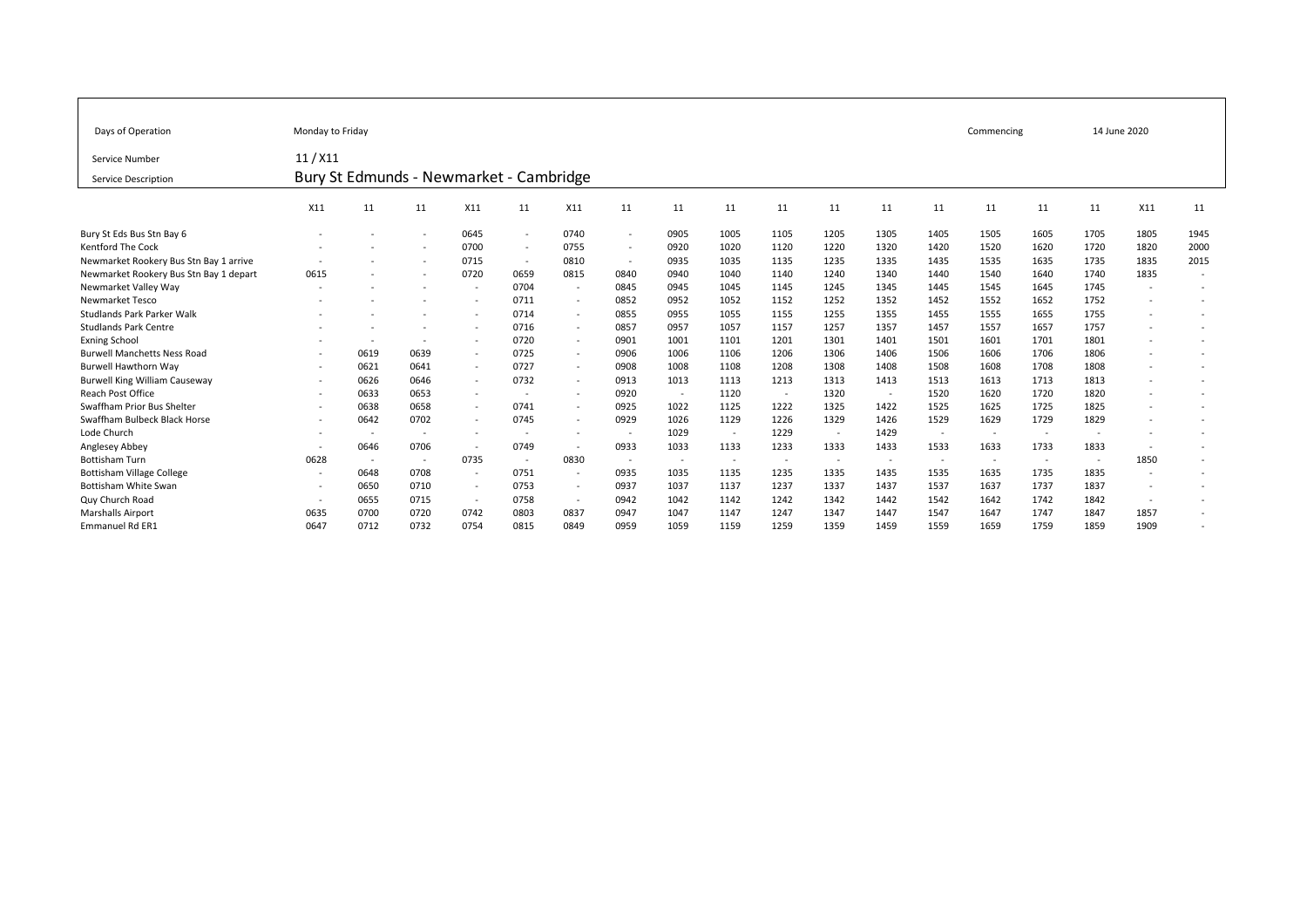| Days of Operation                      | Monday to Friday                        |                          |                          |                          |                          |                          |                          |        |                          |                          |                          |        |                          |                          | Commencing               | 14 June 2020             |                          |                          |
|----------------------------------------|-----------------------------------------|--------------------------|--------------------------|--------------------------|--------------------------|--------------------------|--------------------------|--------|--------------------------|--------------------------|--------------------------|--------|--------------------------|--------------------------|--------------------------|--------------------------|--------------------------|--------------------------|
| Service Number                         | $11/$ X11                               |                          |                          |                          |                          |                          |                          |        |                          |                          |                          |        |                          |                          |                          |                          |                          |                          |
| Service Description                    | Bury St Edmunds - Newmarket - Cambridge |                          |                          |                          |                          |                          |                          |        |                          |                          |                          |        |                          |                          |                          |                          |                          |                          |
|                                        | X11                                     | 11                       | 11                       | X11                      | 11                       | X11                      | 11                       | 11     | 11                       | 11                       | 11                       | 11     | 11                       | 11                       | 11                       | 11                       | X11                      | 11                       |
| Bury St Eds Bus Stn Bay 6              |                                         |                          | $\overline{\phantom{a}}$ | 0645                     | $\sim$                   | 0740                     | $\sim$                   | 0905   | 1005                     | 1105                     | 1205                     | 1305   | 1405                     | 1505                     | 1605                     | 1705                     | 1805                     | 1945                     |
| <b>Kentford The Cock</b>               |                                         |                          |                          | 0700                     | $\overline{\phantom{a}}$ | 0755                     | $\sim$                   | 0920   | 1020                     | 1120                     | 1220                     | 1320   | 1420                     | 1520                     | 1620                     | 1720                     | 1820                     | 2000                     |
| Newmarket Rookery Bus Stn Bay 1 arrive |                                         |                          |                          | 0715                     | $\overline{\phantom{a}}$ | 0810                     | $\sim$                   | 0935   | 1035                     | 1135                     | 1235                     | 1335   | 1435                     | 1535                     | 1635                     | 1735                     | 1835                     | 2015                     |
| Newmarket Rookery Bus Stn Bay 1 depart | 0615                                    |                          | $\sim$                   | 0720                     | 0659                     | 0815                     | 0840                     | 0940   | 1040                     | 1140                     | 1240                     | 1340   | 1440                     | 1540                     | 1640                     | 1740                     | 1835                     | $\sim$                   |
| Newmarket Valley Way                   |                                         |                          |                          | $\overline{\phantom{a}}$ | 0704                     | $\sim$                   | 0845                     | 0945   | 1045                     | 1145                     | 1245                     | 1345   | 1445                     | 1545                     | 1645                     | 1745                     |                          |                          |
| Newmarket Tesco                        |                                         |                          |                          |                          | 0711                     | $\sim$                   | 0852                     | 0952   | 1052                     | 1152                     | 1252                     | 1352   | 1452                     | 1552                     | 1652                     | 1752                     | ٠                        |                          |
| Studlands Park Parker Walk             |                                         |                          |                          |                          | 0714                     | $\overline{\phantom{a}}$ | 0855                     | 0955   | 1055                     | 1155                     | 1255                     | 1355   | 1455                     | 1555                     | 1655                     | 1755                     | $\overline{\phantom{a}}$ |                          |
| <b>Studlands Park Centre</b>           |                                         |                          |                          | $\overline{\phantom{a}}$ | 0716                     | $\sim$                   | 0857                     | 0957   | 1057                     | 1157                     | 1257                     | 1357   | 1457                     | 1557                     | 1657                     | 1757                     | ٠                        |                          |
| <b>Exning School</b>                   |                                         | $\overline{\phantom{a}}$ | $\overline{\phantom{a}}$ | $\sim$                   | 0720                     | $\sim$                   | 0901                     | 1001   | 1101                     | 1201                     | 1301                     | 1401   | 1501                     | 1601                     | 1701                     | 1801                     | ٠                        | $\overline{\phantom{0}}$ |
| <b>Burwell Manchetts Ness Road</b>     |                                         | 0619                     | 0639                     | $\sim$                   | 0725                     | $\overline{\phantom{a}}$ | 0906                     | 1006   | 1106                     | 1206                     | 1306                     | 1406   | 1506                     | 1606                     | 1706                     | 1806                     | ٠                        |                          |
| <b>Burwell Hawthorn Way</b>            |                                         | 0621                     | 0641                     | $\sim$                   | 0727                     | $\sim$                   | 0908                     | 1008   | 1108                     | 1208                     | 1308                     | 1408   | 1508                     | 1608                     | 1708                     | 1808                     |                          |                          |
| <b>Burwell King William Causeway</b>   |                                         | 0626                     | 0646                     | $\sim$                   | 0732                     | $\overline{\phantom{a}}$ | 0913                     | 1013   | 1113                     | 1213                     | 1313                     | 1413   | 1513                     | 1613                     | 1713                     | 1813                     |                          |                          |
| Reach Post Office                      |                                         | 0633                     | 0653                     | $\sim$                   |                          | $\overline{\phantom{a}}$ | 0920                     | $\sim$ | 1120                     | $\overline{\phantom{a}}$ | 1320                     | $\sim$ | 1520                     | 1620                     | 1720                     | 1820                     | ٠                        |                          |
| Swaffham Prior Bus Shelter             |                                         | 0638                     | 0658                     | $\sim$                   | 0741                     | $\overline{\phantom{a}}$ | 0925                     | 1022   | 1125                     | 1222                     | 1325                     | 1422   | 1525                     | 1625                     | 1725                     | 1825                     | ٠                        |                          |
| Swaffham Bulbeck Black Horse           |                                         | 0642                     | 0702                     | $\sim$                   | 0745                     | $\sim$                   | 0929                     | 1026   | 1129                     | 1226                     | 1329                     | 1426   | 1529                     | 1629                     | 1729                     | 1829                     | $\overline{\phantom{a}}$ | $\overline{\phantom{0}}$ |
| Lode Church                            |                                         |                          | $\overline{\phantom{a}}$ | $\overline{\phantom{a}}$ |                          |                          |                          | 1029   |                          | 1229                     |                          | 1429   | $\overline{\phantom{a}}$ | $\overline{\phantom{a}}$ | $\overline{\phantom{a}}$ | $\overline{\phantom{a}}$ |                          |                          |
| Anglesey Abbey                         |                                         | 0646                     | 0706                     | $\overline{\phantom{a}}$ | 0749                     | $\sim$                   | 0933                     | 1033   | 1133                     | 1233                     | 1333                     | 1433   | 1533                     | 1633                     | 1733                     | 1833                     | $\overline{\phantom{a}}$ |                          |
| <b>Bottisham Turn</b>                  | 0628                                    | $\overline{\phantom{a}}$ | $\overline{\phantom{a}}$ | 0735                     | $\overline{\phantom{a}}$ | 0830                     | $\overline{\phantom{a}}$ | $\sim$ | $\overline{\phantom{a}}$ | $\overline{\phantom{a}}$ | $\overline{\phantom{a}}$ | $\sim$ | $\overline{\phantom{a}}$ | $\overline{\phantom{a}}$ | $\overline{\phantom{a}}$ | $\sim$                   | 1850                     |                          |
| <b>Bottisham Village College</b>       |                                         | 0648                     | 0708                     | $\sim$                   | 0751                     | $\sim$                   | 0935                     | 1035   | 1135                     | 1235                     | 1335                     | 1435   | 1535                     | 1635                     | 1735                     | 1835                     | $\overline{\phantom{a}}$ | $\overline{\phantom{0}}$ |
| Bottisham White Swan                   |                                         | 0650                     | 0710                     | $\sim$                   | 0753                     | $\overline{\phantom{a}}$ | 0937                     | 1037   | 1137                     | 1237                     | 1337                     | 1437   | 1537                     | 1637                     | 1737                     | 1837                     | $\overline{\phantom{a}}$ |                          |
| Quy Church Road                        |                                         | 0655                     | 0715                     | $\sim$                   | 0758                     | $\sim$                   | 0942                     | 1042   | 1142                     | 1242                     | 1342                     | 1442   | 1542                     | 1642                     | 1742                     | 1842                     | $\overline{\phantom{a}}$ |                          |
| <b>Marshalls Airport</b>               | 0635                                    | 0700                     | 0720                     | 0742                     | 0803                     | 0837                     | 0947                     | 1047   | 1147                     | 1247                     | 1347                     | 1447   | 1547                     | 1647                     | 1747                     | 1847                     | 1857                     | $\overline{\phantom{0}}$ |
| <b>Emmanuel Rd ER1</b>                 | 0647                                    | 0712                     | 0732                     | 0754                     | 0815                     | 0849                     | 0959                     | 1059   | 1159                     | 1259                     | 1359                     | 1459   | 1559                     | 1659                     | 1759                     | 1859                     | 1909                     |                          |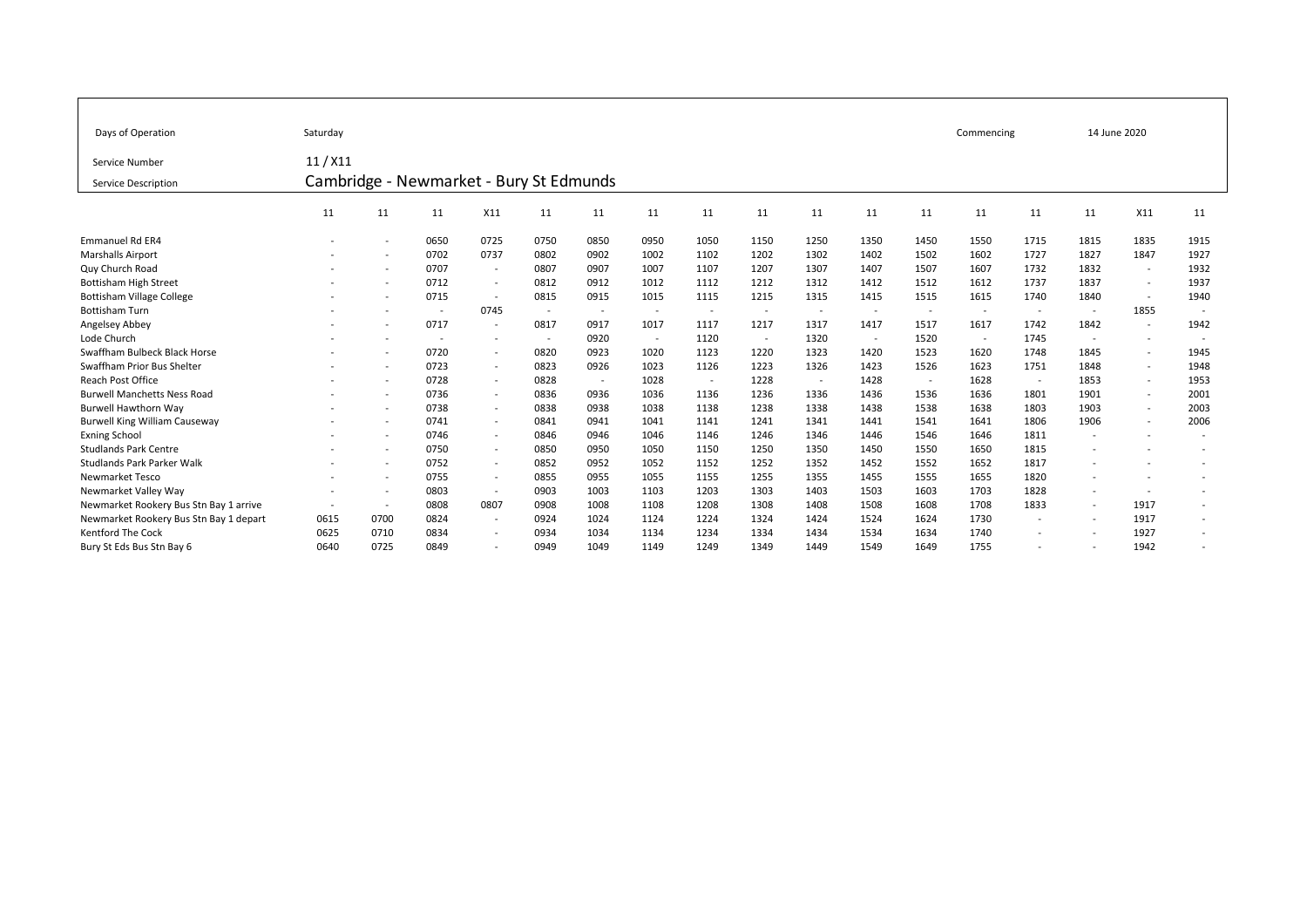| Days of Operation                      | Saturday                                |                          |                          |                          |                          | Commencing |        | 14 June 2020             |                          |                          |                          |                          |                          |        |                          |                          |                          |  |  |
|----------------------------------------|-----------------------------------------|--------------------------|--------------------------|--------------------------|--------------------------|------------|--------|--------------------------|--------------------------|--------------------------|--------------------------|--------------------------|--------------------------|--------|--------------------------|--------------------------|--------------------------|--|--|
| Service Number                         | 11/X11                                  |                          |                          |                          |                          |            |        |                          |                          |                          |                          |                          |                          |        |                          |                          |                          |  |  |
| Service Description                    | Cambridge - Newmarket - Bury St Edmunds |                          |                          |                          |                          |            |        |                          |                          |                          |                          |                          |                          |        |                          |                          |                          |  |  |
|                                        | 11                                      | 11                       | 11                       | X11                      | 11                       | 11         | 11     | 11                       | 11                       | 11                       | 11                       | 11                       | 11                       | 11     | 11                       | X11                      | 11                       |  |  |
| Emmanuel Rd ER4                        |                                         | $\overline{\phantom{a}}$ | 0650                     | 0725                     | 0750                     | 0850       | 0950   | 1050                     | 1150                     | 1250                     | 1350                     | 1450                     | 1550                     | 1715   | 1815                     | 1835                     | 1915                     |  |  |
| <b>Marshalls Airport</b>               |                                         | $\overline{\phantom{0}}$ | 0702                     | 0737                     | 0802                     | 0902       | 1002   | 1102                     | 1202                     | 1302                     | 1402                     | 1502                     | 1602                     | 1727   | 1827                     | 1847                     | 1927                     |  |  |
| Quy Church Road                        |                                         | $\overline{\phantom{a}}$ | 0707                     | $\overline{\phantom{a}}$ | 0807                     | 0907       | 1007   | 1107                     | 1207                     | 1307                     | 1407                     | 1507                     | 1607                     | 1732   | 1832                     | $\overline{\phantom{a}}$ | 1932                     |  |  |
| <b>Bottisham High Street</b>           |                                         | $\overline{\phantom{a}}$ | 0712                     | $\overline{\phantom{a}}$ | 0812                     | 0912       | 1012   | 1112                     | 1212                     | 1312                     | 1412                     | 1512                     | 1612                     | 1737   | 1837                     | $\overline{\phantom{a}}$ | 1937                     |  |  |
| <b>Bottisham Village College</b>       |                                         | $\overline{\phantom{a}}$ | 0715                     | $\overline{\phantom{a}}$ | 0815                     | 0915       | 1015   | 1115                     | 1215                     | 1315                     | 1415                     | 1515                     | 1615                     | 1740   | 1840                     | $\overline{\phantom{a}}$ | 1940                     |  |  |
| <b>Bottisham Turn</b>                  |                                         |                          | $\overline{\phantom{a}}$ | 0745                     | $\overline{\phantom{a}}$ | $\sim$     | $\sim$ | $\overline{\phantom{0}}$ | $\overline{\phantom{a}}$ | $\overline{\phantom{a}}$ | $\overline{\phantom{a}}$ | $\overline{\phantom{a}}$ | $\overline{\phantom{a}}$ | $\sim$ | $\sim$                   | 1855                     |                          |  |  |
| Angelsey Abbey                         |                                         | $\overline{\phantom{a}}$ | 0717                     | $\overline{\phantom{a}}$ | 0817                     | 0917       | 1017   | 1117                     | 1217                     | 1317                     | 1417                     | 1517                     | 1617                     | 1742   | 1842                     | $\overline{\phantom{a}}$ | 1942                     |  |  |
| Lode Church                            |                                         | $\overline{\phantom{a}}$ | $\overline{\phantom{a}}$ | $\overline{\phantom{a}}$ | $\overline{\phantom{a}}$ | 0920       | $\sim$ | 1120                     | $\overline{\phantom{a}}$ | 1320                     | $\sim$                   | 1520                     | $\overline{\phantom{a}}$ | 1745   | $\overline{\phantom{a}}$ | $\overline{\phantom{a}}$ |                          |  |  |
| Swaffham Bulbeck Black Horse           |                                         |                          | 0720                     | $\overline{\phantom{a}}$ | 0820                     | 0923       | 1020   | 1123                     | 1220                     | 1323                     | 1420                     | 1523                     | 1620                     | 1748   | 1845                     | $\overline{\phantom{a}}$ | 1945                     |  |  |
| Swaffham Prior Bus Shelter             |                                         | $\sim$                   | 0723                     | $\overline{\phantom{a}}$ | 0823                     | 0926       | 1023   | 1126                     | 1223                     | 1326                     | 1423                     | 1526                     | 1623                     | 1751   | 1848                     | $\overline{\phantom{a}}$ | 1948                     |  |  |
| Reach Post Office                      |                                         | $\overline{\phantom{0}}$ | 0728                     | $\overline{\phantom{a}}$ | 0828                     | $\sim$     | 1028   | $\sim$                   | 1228                     | $\sim$                   | 1428                     | $\overline{\phantom{a}}$ | 1628                     | $\sim$ | 1853                     | $\overline{\phantom{a}}$ | 1953                     |  |  |
| <b>Burwell Manchetts Ness Road</b>     |                                         | $\overline{\phantom{a}}$ | 0736                     | $\overline{\phantom{a}}$ | 0836                     | 0936       | 1036   | 1136                     | 1236                     | 1336                     | 1436                     | 1536                     | 1636                     | 1801   | 1901                     | $\overline{\phantom{a}}$ | 2001                     |  |  |
| <b>Burwell Hawthorn Way</b>            |                                         | $\overline{\phantom{a}}$ | 0738                     | $\overline{\phantom{a}}$ | 0838                     | 0938       | 1038   | 1138                     | 1238                     | 1338                     | 1438                     | 1538                     | 1638                     | 1803   | 1903                     | $\overline{\phantom{a}}$ | 2003                     |  |  |
| <b>Burwell King William Causeway</b>   |                                         | $\sim$                   | 0741                     | $\overline{\phantom{a}}$ | 0841                     | 0941       | 1041   | 1141                     | 1241                     | 1341                     | 1441                     | 1541                     | 1641                     | 1806   | 1906                     | $\overline{\phantom{a}}$ | 2006                     |  |  |
| <b>Exning School</b>                   |                                         | $\overline{\phantom{a}}$ | 0746                     | $\overline{\phantom{a}}$ | 0846                     | 0946       | 1046   | 1146                     | 1246                     | 1346                     | 1446                     | 1546                     | 1646                     | 1811   | $\overline{\phantom{a}}$ |                          |                          |  |  |
| <b>Studlands Park Centre</b>           |                                         | $\overline{\phantom{a}}$ | 0750                     | $\overline{\phantom{a}}$ | 0850                     | 0950       | 1050   | 1150                     | 1250                     | 1350                     | 1450                     | 1550                     | 1650                     | 1815   | $\overline{\phantom{a}}$ |                          |                          |  |  |
| Studlands Park Parker Walk             |                                         | $\overline{\phantom{a}}$ | 0752                     | $\overline{\phantom{a}}$ | 0852                     | 0952       | 1052   | 1152                     | 1252                     | 1352                     | 1452                     | 1552                     | 1652                     | 1817   | $\overline{\phantom{a}}$ |                          |                          |  |  |
| <b>Newmarket Tesco</b>                 |                                         | $\overline{\phantom{a}}$ | 0755                     | $\overline{\phantom{a}}$ | 0855                     | 0955       | 1055   | 1155                     | 1255                     | 1355                     | 1455                     | 1555                     | 1655                     | 1820   | $\overline{\phantom{a}}$ |                          |                          |  |  |
| Newmarket Valley Way                   |                                         | $\overline{\phantom{a}}$ | 0803                     | $\overline{\phantom{a}}$ | 0903                     | 1003       | 1103   | 1203                     | 1303                     | 1403                     | 1503                     | 1603                     | 1703                     | 1828   | $\overline{\phantom{a}}$ | $\overline{\phantom{a}}$ |                          |  |  |
| Newmarket Rookery Bus Stn Bay 1 arrive | $\overline{\phantom{a}}$                | $\sim$                   | 0808                     | 0807                     | 0908                     | 1008       | 1108   | 1208                     | 1308                     | 1408                     | 1508                     | 1608                     | 1708                     | 1833   | $\sim$                   | 1917                     |                          |  |  |
| Newmarket Rookery Bus Stn Bay 1 depart | 0615                                    | 0700                     | 0824                     | $\overline{\phantom{a}}$ | 0924                     | 1024       | 1124   | 1224                     | 1324                     | 1424                     | 1524                     | 1624                     | 1730                     | $\sim$ | $\sim$                   | 1917                     | $\overline{\phantom{a}}$ |  |  |
| <b>Kentford The Cock</b>               | 0625                                    | 0710                     | 0834                     | $\overline{\phantom{a}}$ | 0934                     | 1034       | 1134   | 1234                     | 1334                     | 1434                     | 1534                     | 1634                     | 1740                     |        | $\overline{\phantom{a}}$ | 1927                     |                          |  |  |
| Bury St Eds Bus Stn Bay 6              | 0640                                    | 0725                     | 0849                     | $\overline{\phantom{a}}$ | 0949                     | 1049       | 1149   | 1249                     | 1349                     | 1449                     | 1549                     | 1649                     | 1755                     |        | $\overline{\phantom{a}}$ | 1942                     |                          |  |  |